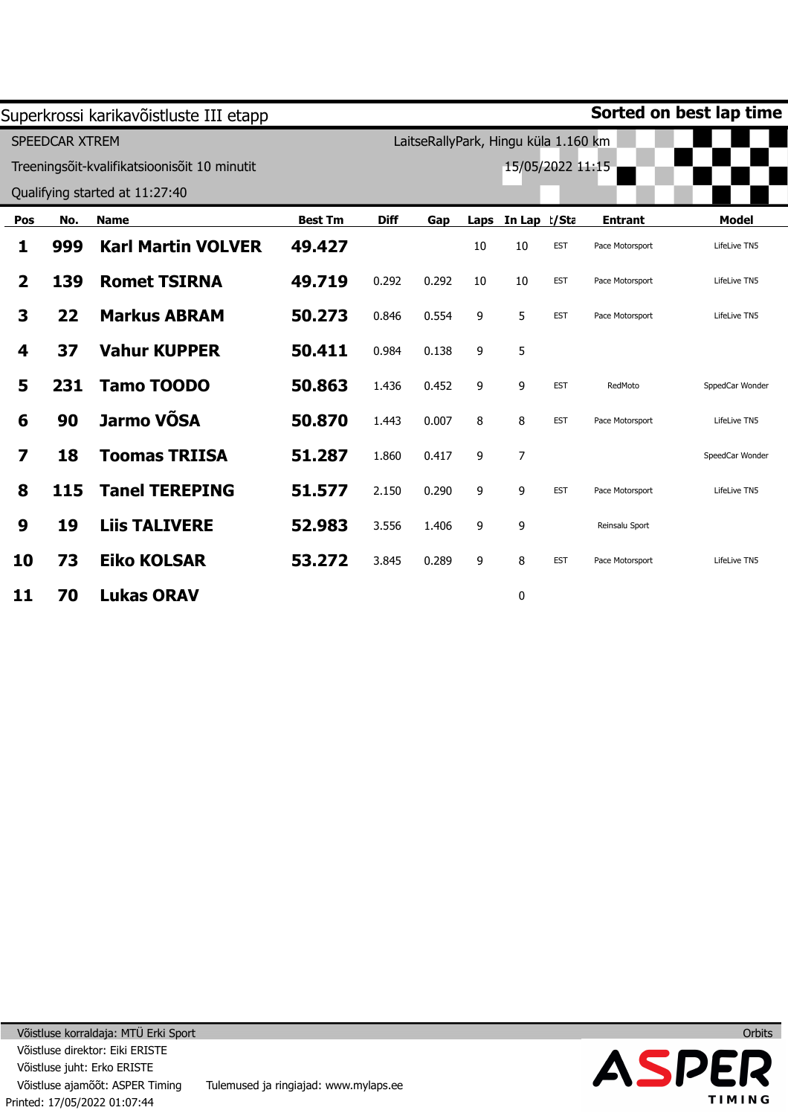|                |                | Superkrossi karikavõistluste III etapp       |                |             |                                      |      |                  |            |                 | Sorted on best lap time |
|----------------|----------------|----------------------------------------------|----------------|-------------|--------------------------------------|------|------------------|------------|-----------------|-------------------------|
|                | SPEEDCAR XTREM |                                              |                |             | LaitseRallyPark, Hingu küla 1.160 km |      |                  |            |                 |                         |
|                |                | Treeningsõit-kvalifikatsioonisõit 10 minutit |                |             |                                      |      | 15/05/2022 11:15 |            |                 |                         |
|                |                | Qualifying started at 11:27:40               |                |             |                                      |      |                  |            |                 |                         |
| Pos            | No.            | <b>Name</b>                                  | <b>Best Tm</b> | <b>Diff</b> | Gap                                  | Laps | In Lap t/Sta     |            | <b>Entrant</b>  | <b>Model</b>            |
| 1              | 999            | <b>Karl Martin VOLVER</b>                    | 49.427         |             |                                      | 10   | 10               | <b>EST</b> | Pace Motorsport | LifeLive TN5            |
| $\overline{2}$ | 139            | <b>Romet TSIRNA</b>                          | 49.719         | 0.292       | 0.292                                | 10   | 10               | <b>EST</b> | Pace Motorsport | LifeLive TN5            |
| 3              | 22             | <b>Markus ABRAM</b>                          | 50.273         | 0.846       | 0.554                                | 9    | 5                | <b>EST</b> | Pace Motorsport | LifeLive TN5            |
| 4              | 37             | <b>Vahur KUPPER</b>                          | 50.411         | 0.984       | 0.138                                | 9    | 5                |            |                 |                         |
| 5              | 231            | <b>Tamo TOODO</b>                            | 50.863         | 1.436       | 0.452                                | 9    | 9                | <b>EST</b> | RedMoto         | SppedCar Wonder         |
| 6              | 90             | Jarmo VÕSA                                   | 50.870         | 1.443       | 0.007                                | 8    | 8                | <b>EST</b> | Pace Motorsport | LifeLive TN5            |
| 7              | 18             | <b>Toomas TRIISA</b>                         | 51.287         | 1.860       | 0.417                                | 9    | $\overline{7}$   |            |                 | SpeedCar Wonder         |
| 8              | 115            | <b>Tanel TEREPING</b>                        | 51.577         | 2.150       | 0.290                                | 9    | 9                | <b>EST</b> | Pace Motorsport | LifeLive TN5            |
| 9              | 19             | <b>Liis TALIVERE</b>                         | 52.983         | 3.556       | 1.406                                | 9    | 9                |            | Reinsalu Sport  |                         |
| 10             | 73             | <b>Eiko KOLSAR</b>                           | 53.272         | 3.845       | 0.289                                | 9    | 8                | <b>EST</b> | Pace Motorsport | LifeLive TN5            |
| 11             | 70             | <b>Lukas ORAV</b>                            |                |             |                                      |      | 0                |            |                 |                         |



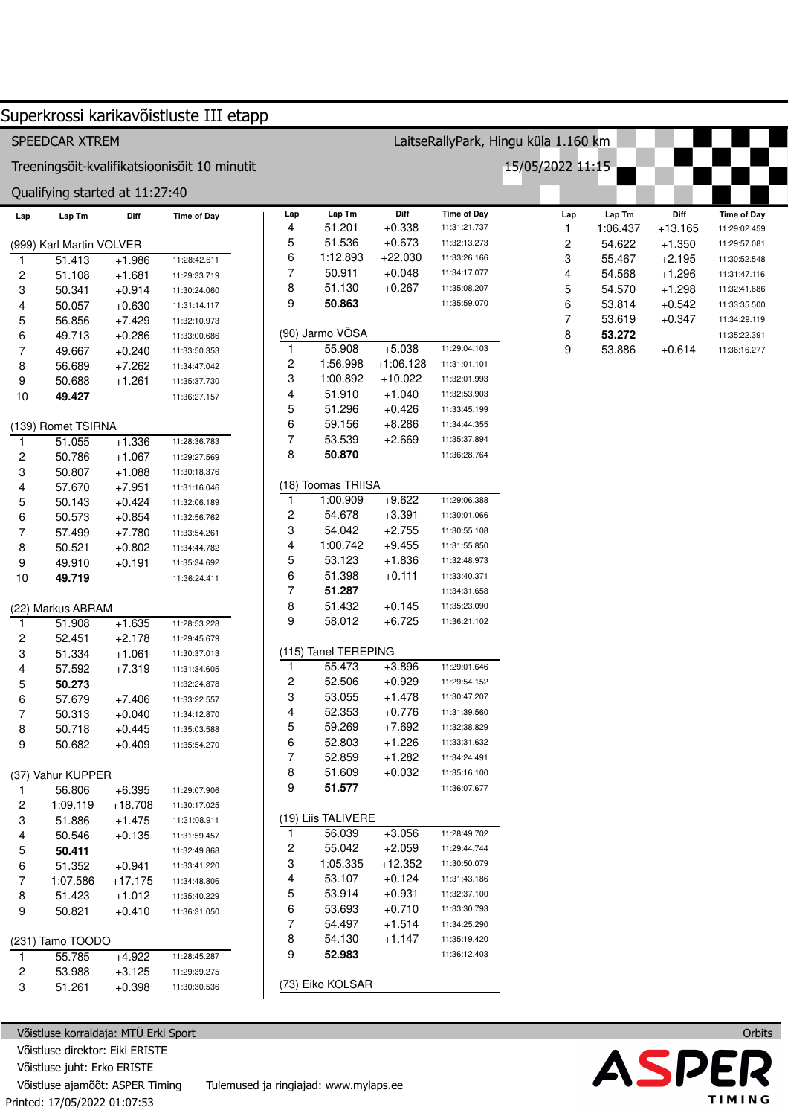|                         |                                |                      | Superkrossi karikavõistluste III etapp       |                |                      |                      |                                      |                  |                  |                      |                              |  |
|-------------------------|--------------------------------|----------------------|----------------------------------------------|----------------|----------------------|----------------------|--------------------------------------|------------------|------------------|----------------------|------------------------------|--|
|                         | SPEEDCAR XTREM                 |                      |                                              |                |                      |                      | LaitseRallyPark, Hingu küla 1.160 km |                  |                  |                      |                              |  |
|                         |                                |                      | Treeningsõit-kvalifikatsioonisõit 10 minutit |                |                      |                      |                                      | 15/05/2022 11:15 |                  |                      |                              |  |
|                         | Qualifying started at 11:27:40 |                      |                                              |                |                      |                      |                                      |                  |                  |                      |                              |  |
| Lap                     | Lap Tm                         | Diff                 | <b>Time of Day</b>                           | Lap            | Lap Tm               | Diff                 | <b>Time of Day</b>                   | Lap              | Lap Tm           | Diff                 | <b>Time of Day</b>           |  |
|                         |                                |                      |                                              | 4<br>5         | 51.201<br>51.536     | $+0.338$<br>$+0.673$ | 11:31:21.737                         | 1                | 1:06.437         | $+13.165$            | 11:29:02.459                 |  |
|                         | (999) Karl Martin VOLVER       |                      |                                              | 6              | 1:12.893             | $+22.030$            | 11:32:13.273<br>11:33:26.166         | 2                | 54.622           | $+1.350$             | 11:29:57.081                 |  |
| $\mathbf{1}$            | 51.413                         | $+1.986$             | 11:28:42.611                                 | 7              | 50.911               | $+0.048$             | 11:34:17.077                         | 3<br>4           | 55.467           | $+2.195$             | 11:30:52.548                 |  |
| 2                       | 51.108                         | $+1.681$             | 11:29:33.719                                 | 8              | 51.130               | $+0.267$             | 11:35:08.207                         | 5                | 54.568<br>54.570 | $+1.296$<br>$+1.298$ | 11:31:47.116<br>11:32:41.686 |  |
| 3<br>4                  | 50.341<br>50.057               | $+0.914$<br>$+0.630$ | 11:30:24.060                                 | 9              | 50.863               |                      | 11:35:59.070                         | 6                | 53.814           | $+0.542$             | 11:33:35.500                 |  |
| 5                       | 56.856                         | $+7.429$             | 11:31:14.117<br>11:32:10.973                 |                |                      |                      |                                      | $\overline{7}$   | 53.619           | $+0.347$             | 11:34:29.119                 |  |
| 6                       | 49.713                         | $+0.286$             | 11:33:00.686                                 |                | (90) Jarmo VÕSA      |                      |                                      | 8                | 53.272           |                      | 11:35:22.391                 |  |
| 7                       | 49.667                         | $+0.240$             | 11:33:50.353                                 | $\mathbf{1}$   | 55.908               | $+5.038$             | 11:29:04.103                         | 9                | 53.886           | $+0.614$             | 11:36:16.277                 |  |
| 8                       | 56.689                         | $+7.262$             | 11:34:47.042                                 | 2              | 1:56.998             | $-1:06.128$          | 11:31:01.101                         |                  |                  |                      |                              |  |
| 9                       | 50.688                         | $+1.261$             | 11:35:37.730                                 | 3              | 1:00.892             | $+10.022$            | 11:32:01.993                         |                  |                  |                      |                              |  |
| 10                      | 49.427                         |                      | 11:36:27.157                                 | 4              | 51.910               | $+1.040$             | 11:32:53.903                         |                  |                  |                      |                              |  |
|                         |                                |                      |                                              | 5              | 51.296               | $+0.426$             | 11:33:45.199                         |                  |                  |                      |                              |  |
|                         | (139) Romet TSIRNA             |                      |                                              | 6              | 59.156               | $+8.286$             | 11:34:44.355                         |                  |                  |                      |                              |  |
| 1                       | 51.055                         | $+1.336$             | 11:28:36.783                                 | 7              | 53.539               | $+2.669$             | 11:35:37.894                         |                  |                  |                      |                              |  |
| $\overline{\mathbf{c}}$ | 50.786                         | $+1.067$             | 11:29:27.569                                 | 8              | 50.870               |                      | 11:36:28.764                         |                  |                  |                      |                              |  |
| 3                       | 50.807                         | $+1.088$             | 11:30:18.376                                 |                |                      |                      |                                      |                  |                  |                      |                              |  |
| 4                       | 57.670                         | $+7.951$             | 11:31:16.046                                 |                | (18) Toomas TRIISA   |                      |                                      |                  |                  |                      |                              |  |
| 5                       | 50.143                         | $+0.424$             | 11:32:06.189                                 | $\mathbf{1}$   | 1:00.909             | $+9.622$             | 11:29:06.388                         |                  |                  |                      |                              |  |
| 6                       | 50.573                         | $+0.854$             | 11:32:56.762                                 | 2              | 54.678               | $+3.391$             | 11:30:01.066                         |                  |                  |                      |                              |  |
| 7                       | 57.499                         | $+7.780$             | 11:33:54.261                                 | 3              | 54.042               | $+2.755$             | 11:30:55.108                         |                  |                  |                      |                              |  |
| 8                       | 50.521                         | $+0.802$             | 11:34:44.782                                 | 4              | 1:00.742             | $+9.455$             | 11:31:55.850                         |                  |                  |                      |                              |  |
| 9                       | 49.910                         | $+0.191$             | 11:35:34.692                                 | 5              | 53.123               | $+1.836$             | 11:32:48.973                         |                  |                  |                      |                              |  |
| 10                      | 49.719                         |                      | 11:36:24.411                                 | 6              | 51.398               | $+0.111$             | 11:33:40.371                         |                  |                  |                      |                              |  |
|                         |                                |                      |                                              | $\overline{7}$ | 51.287               |                      | 11:34:31.658                         |                  |                  |                      |                              |  |
|                         | (22) Markus ABRAM              |                      |                                              | 8              | 51.432               | $+0.145$             | 11:35:23.090                         |                  |                  |                      |                              |  |
| 1                       | 51.908                         | $+1.635$             | 11:28:53.228                                 | 9              | 58.012               | $+6.725$             | 11:36:21.102                         |                  |                  |                      |                              |  |
| 2                       | 52.451                         | $+2.178$             | 11:29:45.679                                 |                |                      |                      |                                      |                  |                  |                      |                              |  |
| 3                       | 51.334                         | $+1.061$             | 11:30:37.013                                 |                | (115) Tanel TEREPING |                      |                                      |                  |                  |                      |                              |  |
| 4                       | 57.592                         | $+7.319$             | 11:31:34.605                                 | $\mathbf{1}$   | 55.473               | $+3.896$             | 11:29:01.646                         |                  |                  |                      |                              |  |
| 5                       | 50.273                         |                      | 11:32:24.878                                 | 2              | 52.506               | $+0.929$             | 11:29:54.152                         |                  |                  |                      |                              |  |
| 6                       | 57.679                         | +7.406               | 11:33:22.557                                 | 3              | 53.055               | $+1.478$             | 11:30:47.207                         |                  |                  |                      |                              |  |
| 7                       | 50.313                         | $+0.040$             | 11:34:12.870                                 | 4              | 52.353               | $+0.776$             | 11:31:39.560                         |                  |                  |                      |                              |  |
| 8                       | 50.718                         | $+0.445$             | 11:35:03.588                                 | 5              | 59.269               | $+7.692$             | 11:32:38.829                         |                  |                  |                      |                              |  |
| 9                       | 50.682                         | $+0.409$             | 11:35:54.270                                 | 6              | 52.803               | $+1.226$             | 11:33:31.632                         |                  |                  |                      |                              |  |
|                         |                                |                      |                                              | 7              | 52.859               | $+1.282$             | 11:34:24.491                         |                  |                  |                      |                              |  |
|                         | (37) Vahur KUPPER              |                      |                                              | 8              | 51.609               | $+0.032$             | 11:35:16.100                         |                  |                  |                      |                              |  |
| -1                      | 56.806                         | $+6.395$             | 11:29:07.906                                 | 9              | 51.577               |                      | 11:36:07.677                         |                  |                  |                      |                              |  |
| 2                       | 1:09.119                       | $+18.708$            | 11:30:17.025                                 |                |                      |                      |                                      |                  |                  |                      |                              |  |
| 3                       | 51.886                         | $+1.475$             | 11:31:08.911                                 |                | (19) Liis TALIVERE   |                      |                                      |                  |                  |                      |                              |  |
| 4                       | 50.546                         | $+0.135$             | 11:31:59.457                                 | $\mathbf{1}$   | 56.039               | $+3.056$             | 11:28:49.702                         |                  |                  |                      |                              |  |
| 5                       | 50.411                         |                      | 11:32:49.868                                 | 2              | 55.042               | $+2.059$             | 11:29:44.744                         |                  |                  |                      |                              |  |
| 6                       | 51.352                         | $+0.941$             | 11:33:41.220                                 | 3              | 1:05.335             | $+12.352$            | 11:30:50.079                         |                  |                  |                      |                              |  |
| 7                       | 1:07.586                       | $+17.175$            | 11:34:48.806                                 | 4              | 53.107               | $+0.124$             | 11:31:43.186                         |                  |                  |                      |                              |  |
| 8                       | 51.423                         | $+1.012$             | 11:35:40.229                                 | 5              | 53.914               | $+0.931$             | 11:32:37.100                         |                  |                  |                      |                              |  |
| 9                       | 50.821                         | $+0.410$             | 11:36:31.050                                 | 6              | 53.693               | $+0.710$             | 11:33:30.793                         |                  |                  |                      |                              |  |
|                         |                                |                      |                                              | 7              | 54.497               | $+1.514$             | 11:34:25.290                         |                  |                  |                      |                              |  |
|                         | (231) Tamo TOODO               |                      |                                              | 8              | 54.130               | $+1.147$             | 11:35:19.420                         |                  |                  |                      |                              |  |
| 1                       | 55.785                         | $+4.922$             | 11:28:45.287                                 | 9              | 52.983               |                      | 11:36:12.403                         |                  |                  |                      |                              |  |
| 2                       | 53.988                         | $+3.125$             | 11:29:39.275                                 |                |                      |                      |                                      |                  |                  |                      |                              |  |
| 3                       | 51.261                         | $+0.398$             | 11:30:30.536                                 |                | (73) Eiko KOLSAR     |                      |                                      |                  |                  |                      |                              |  |
|                         |                                |                      |                                              |                |                      |                      |                                      |                  |                  |                      |                              |  |

Printed: 17/05/2022 01:07:53 Võistluse korraldaja: MTÜ Erki Sport Võistluse direktor: Eiki ERISTE Võistluse juht: Erko ERISTE Võistluse ajamõõt: ASPER Timing Tulemused ja ringiajad: www.mylaps.ee

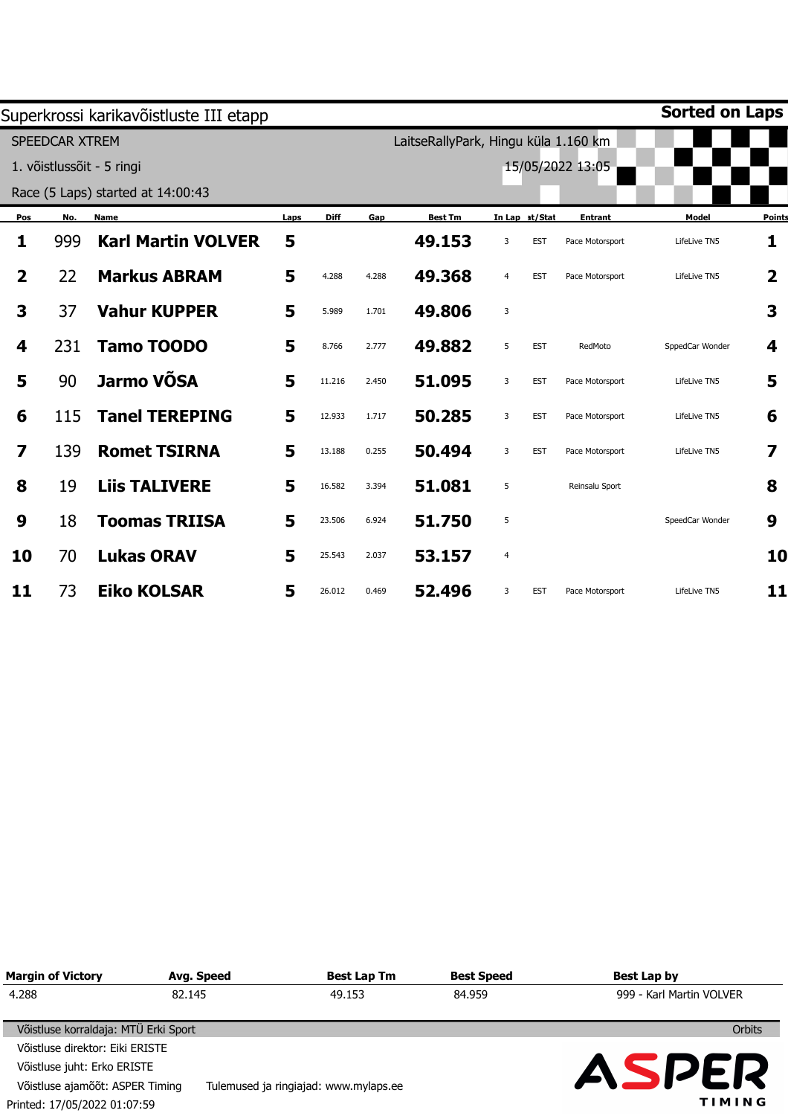|                         |                       | Superkrossi karikavõistluste III etapp |      |             |       |                                      |                |                |                  | <b>Sorted on Laps</b> |        |
|-------------------------|-----------------------|----------------------------------------|------|-------------|-------|--------------------------------------|----------------|----------------|------------------|-----------------------|--------|
|                         | <b>SPEEDCAR XTREM</b> |                                        |      |             |       | LaitseRallyPark, Hingu küla 1.160 km |                |                |                  |                       |        |
|                         |                       | 1. võistlussõit - 5 ringi              |      |             |       |                                      |                |                | 15/05/2022 13:05 |                       |        |
|                         |                       | Race (5 Laps) started at 14:00:43      |      |             |       |                                      |                |                |                  |                       |        |
| Pos                     | No.                   | Name                                   | Laps | <b>Diff</b> | Gap   | <b>Best Tm</b>                       |                | In Lap at/Stat | <b>Entrant</b>   | Model                 | Points |
| 1                       | 999                   | <b>Karl Martin VOLVER</b>              | 5    |             |       | 49.153                               | 3              | <b>EST</b>     | Pace Motorsport  | LifeLive TN5          | 1      |
| $\overline{\mathbf{2}}$ | 22                    | <b>Markus ABRAM</b>                    | 5    | 4.288       | 4.288 | 49.368                               | $\overline{4}$ | <b>EST</b>     | Pace Motorsport  | LifeLive TN5          | 2      |
| 3                       | 37                    | <b>Vahur KUPPER</b>                    | 5    | 5.989       | 1.701 | 49.806                               | 3              |                |                  |                       | 3      |
| 4                       | 231                   | <b>Tamo TOODO</b>                      | 5    | 8.766       | 2.777 | 49.882                               | 5              | <b>EST</b>     | RedMoto          | SppedCar Wonder       | 4      |
| 5                       | 90                    | Jarmo VÕSA                             | 5    | 11.216      | 2.450 | 51.095                               | 3              | <b>EST</b>     | Pace Motorsport  | LifeLive TN5          | 5      |
| 6                       | 115                   | <b>Tanel TEREPING</b>                  | 5    | 12.933      | 1.717 | 50.285                               | 3              | <b>EST</b>     | Pace Motorsport  | LifeLive TN5          | 6      |
| 7                       | 139                   | <b>Romet TSIRNA</b>                    | 5    | 13.188      | 0.255 | 50.494                               | 3              | <b>EST</b>     | Pace Motorsport  | LifeLive TN5          | 7      |
| 8                       | 19                    | <b>Liis TALIVERE</b>                   | 5    | 16.582      | 3.394 | 51.081                               | 5              |                | Reinsalu Sport   |                       | 8      |
| 9                       | 18                    | <b>Toomas TRIISA</b>                   | 5    | 23.506      | 6.924 | 51.750                               | 5              |                |                  | SpeedCar Wonder       | 9      |
| 10                      | 70                    | <b>Lukas ORAV</b>                      | 5    | 25.543      | 2.037 | 53.157                               | $\overline{a}$ |                |                  |                       | 10     |
| 11                      | 73                    | <b>Eiko KOLSAR</b>                     | 5    | 26.012      | 0.469 | 52.496                               | 3              | <b>EST</b>     | Pace Motorsport  | LifeLive TN5          | 11     |

| <b>Margin of Victory</b>             | Avg. Speed | <b>Best Lap Tm</b>                    | <b>Best Speed</b> | Best Lap by              |
|--------------------------------------|------------|---------------------------------------|-------------------|--------------------------|
| 4.288                                | 82.145     | 49.153                                | 84.959            | 999 - Karl Martin VOLVER |
|                                      |            |                                       |                   |                          |
| Võistluse korraldaja: MTÜ Erki Sport |            |                                       |                   | <b>Orbits</b>            |
| Võistluse direktor: Eiki ERISTE      |            |                                       |                   |                          |
| Võistluse juht: Erko ERISTE          |            |                                       |                   | ASPER                    |
| Võistluse ajamõõt: ASPER Timing      |            | Tulemused ja ringiajad: www.mylaps.ee |                   |                          |
| Printed: 17/05/2022 01:07:59         |            |                                       |                   | TIMING                   |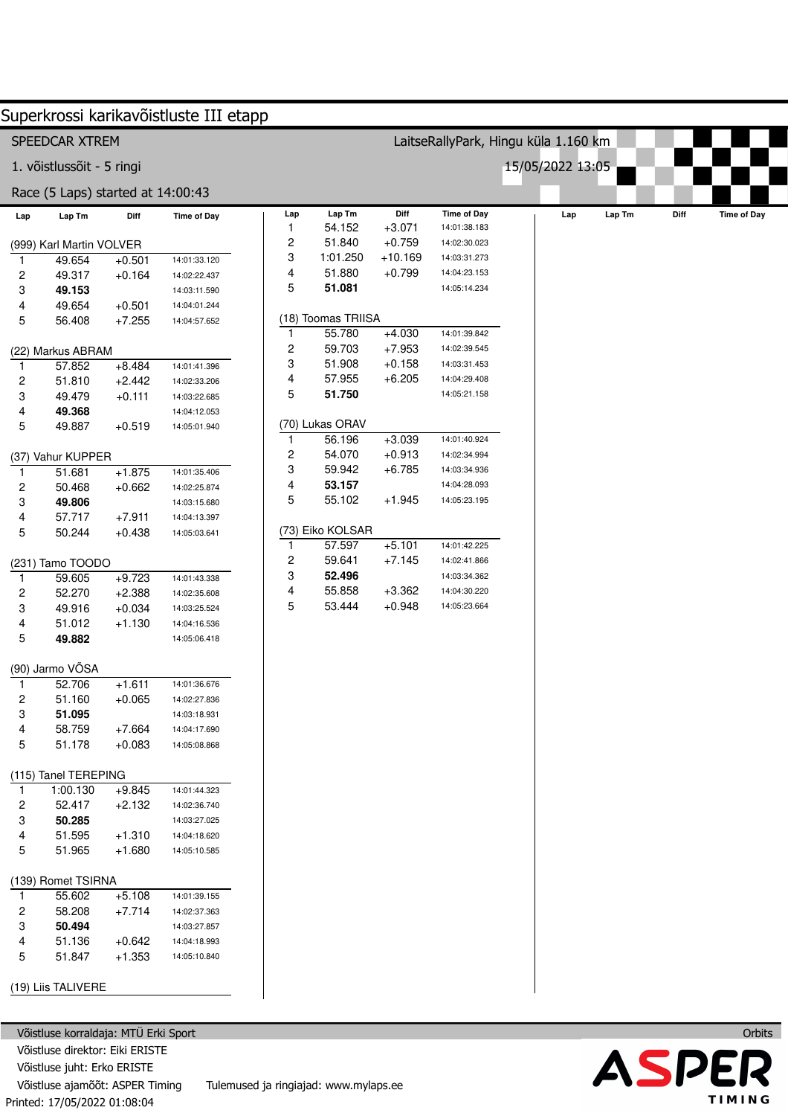|              |                                   |          | Superkrossi karikavõistluste III etapp |              |                           |                      |                                      |                  |        |      |                    |
|--------------|-----------------------------------|----------|----------------------------------------|--------------|---------------------------|----------------------|--------------------------------------|------------------|--------|------|--------------------|
|              | SPEEDCAR XTREM                    |          |                                        |              |                           |                      | LaitseRallyPark, Hingu küla 1.160 km |                  |        |      |                    |
|              | 1. võistlussõit - 5 ringi         |          |                                        |              |                           |                      |                                      | 15/05/2022 13:05 |        |      |                    |
|              | Race (5 Laps) started at 14:00:43 |          |                                        |              |                           |                      |                                      |                  |        |      |                    |
| Lap          | Lap Tm                            | Diff     | <b>Time of Day</b>                     | Lap          | Lap Tm                    | Diff                 | <b>Time of Day</b>                   | Lap              | Lap Tm | Diff | <b>Time of Day</b> |
|              |                                   |          |                                        | $\mathbf{1}$ | 54.152                    | $+3.071$             | 14:01:38.183                         |                  |        |      |                    |
|              | (999) Karl Martin VOLVER          |          |                                        | 2            | 51.840                    | $+0.759$             | 14:02:30.023                         |                  |        |      |                    |
|              | 49.654                            | $+0.501$ | 14:01:33.120                           | 3            | 1:01.250                  | $+10.169$            | 14:03:31.273                         |                  |        |      |                    |
| 2            | 49.317                            | $+0.164$ | 14:02:22.437                           | 4            | 51.880                    | $+0.799$             | 14:04:23.153                         |                  |        |      |                    |
| 3            | 49.153                            |          | 14:03:11.590                           | 5            | 51.081                    |                      | 14:05:14.234                         |                  |        |      |                    |
| 4            | 49.654                            | $+0.501$ | 14:04:01.244                           |              |                           |                      |                                      |                  |        |      |                    |
| 5            | 56.408                            | $+7.255$ | 14:04:57.652                           |              | (18) Toomas TRIISA        |                      |                                      |                  |        |      |                    |
|              |                                   |          |                                        | $\mathbf{1}$ | 55.780                    | $+4.030$             | 14:01:39.842                         |                  |        |      |                    |
|              | (22) Markus ABRAM                 |          |                                        | 2            | 59.703                    | $+7.953$             | 14:02:39.545                         |                  |        |      |                    |
| 1            | 57.852                            | $+8.484$ | 14:01:41.396                           | 3            | 51.908                    | $+0.158$             | 14:03:31.453                         |                  |        |      |                    |
| 2            | 51.810                            | $+2.442$ | 14:02:33.206                           | 4            | 57.955                    | $+6.205$             | 14:04:29.408                         |                  |        |      |                    |
| 3            | 49.479                            | $+0.111$ | 14:03:22.685                           | 5            | 51.750                    |                      | 14:05:21.158                         |                  |        |      |                    |
| 4            | 49.368                            |          | 14:04:12.053                           |              |                           |                      |                                      |                  |        |      |                    |
| 5            | 49.887                            | $+0.519$ | 14:05:01.940                           |              | (70) Lukas ORAV<br>56.196 |                      | 14:01:40.924                         |                  |        |      |                    |
|              |                                   |          |                                        | $\mathbf{1}$ | 54.070                    | $+3.039$<br>$+0.913$ | 14:02:34.994                         |                  |        |      |                    |
|              | (37) Vahur KUPPER                 |          |                                        | 2<br>3       | 59.942                    | $+6.785$             | 14:03:34.936                         |                  |        |      |                    |
| $\mathbf{1}$ | 51.681                            | $+1.875$ | 14:01:35.406                           | 4            | 53.157                    |                      | 14:04:28.093                         |                  |        |      |                    |
| 2            | 50.468                            | $+0.662$ | 14:02:25.874                           | 5            | 55.102                    | $+1.945$             | 14:05:23.195                         |                  |        |      |                    |
| 3            | 49.806                            |          | 14:03:15.680                           |              |                           |                      |                                      |                  |        |      |                    |
| 4            | 57.717                            | $+7.911$ | 14:04:13.397                           |              | (73) Eiko KOLSAR          |                      |                                      |                  |        |      |                    |
| 5            | 50.244                            | $+0.438$ | 14:05:03.641                           | $\mathbf{1}$ | 57.597                    | $+5.101$             | 14:01:42.225                         |                  |        |      |                    |
|              | (231) Tamo TOODO                  |          |                                        | 2            | 59.641                    | $+7.145$             | 14:02:41.866                         |                  |        |      |                    |
| 1            | 59.605                            | $+9.723$ | 14:01:43.338                           | 3            | 52.496                    |                      | 14:03:34.362                         |                  |        |      |                    |
| 2            | 52.270                            | $+2.388$ | 14:02:35.608                           | 4            | 55.858                    | $+3.362$             | 14:04:30.220                         |                  |        |      |                    |
| 3            | 49.916                            | $+0.034$ | 14:03:25.524                           | 5            | 53.444                    | $+0.948$             | 14:05:23.664                         |                  |        |      |                    |
| 4            | 51.012                            | $+1.130$ | 14:04:16.536                           |              |                           |                      |                                      |                  |        |      |                    |
| 5            | 49.882                            |          | 14:05:06.418                           |              |                           |                      |                                      |                  |        |      |                    |
|              |                                   |          |                                        |              |                           |                      |                                      |                  |        |      |                    |
|              | (90) Jarmo VÕSA                   |          |                                        |              |                           |                      |                                      |                  |        |      |                    |
| -1           | 52.706                            | $+1.611$ | 14:01:36.676                           |              |                           |                      |                                      |                  |        |      |                    |
| 2            | 51.160                            | $+0.065$ | 14:02:27.836                           |              |                           |                      |                                      |                  |        |      |                    |
| 3            | 51.095                            |          | 14:03:18.931                           |              |                           |                      |                                      |                  |        |      |                    |
| 4            | 58.759                            | $+7.664$ | 14:04:17.690                           |              |                           |                      |                                      |                  |        |      |                    |
| 5            | 51.178                            | $+0.083$ | 14:05:08.868                           |              |                           |                      |                                      |                  |        |      |                    |
|              | (115) Tanel TEREPING              |          |                                        |              |                           |                      |                                      |                  |        |      |                    |
| 1.           | 1:00.130                          | $+9.845$ | 14:01:44.323                           |              |                           |                      |                                      |                  |        |      |                    |
| 2            | 52.417                            | $+2.132$ | 14:02:36.740                           |              |                           |                      |                                      |                  |        |      |                    |
| 3            | 50.285                            |          | 14:03:27.025                           |              |                           |                      |                                      |                  |        |      |                    |
| 4            | 51.595                            | $+1.310$ | 14:04:18.620                           |              |                           |                      |                                      |                  |        |      |                    |
| 5            | 51.965                            | $+1.680$ | 14:05:10.585                           |              |                           |                      |                                      |                  |        |      |                    |
|              | (139) Romet TSIRNA                |          |                                        |              |                           |                      |                                      |                  |        |      |                    |
|              | 55.602                            | $+5.108$ | 14:01:39.155                           |              |                           |                      |                                      |                  |        |      |                    |
| 2            | 58.208                            | $+7.714$ | 14:02:37.363                           |              |                           |                      |                                      |                  |        |      |                    |
| 3            | 50.494                            |          | 14:03:27.857                           |              |                           |                      |                                      |                  |        |      |                    |
| 4            | 51.136                            | $+0.642$ | 14:04:18.993                           |              |                           |                      |                                      |                  |        |      |                    |
| 5            | 51.847                            | $+1.353$ | 14:05:10.840                           |              |                           |                      |                                      |                  |        |      |                    |
|              | (19) Liis TALIVERE                |          |                                        |              |                           |                      |                                      |                  |        |      |                    |

Printed: 17/05/2022 01:08:04 Võistluse korraldaja: MTÜ Erki Sport Võistluse direktor: Eiki ERISTE Võistluse juht: Erko ERISTE Võistluse ajamõõt: ASPER Timing Tulemused ja ringiajad: www.mylaps.ee

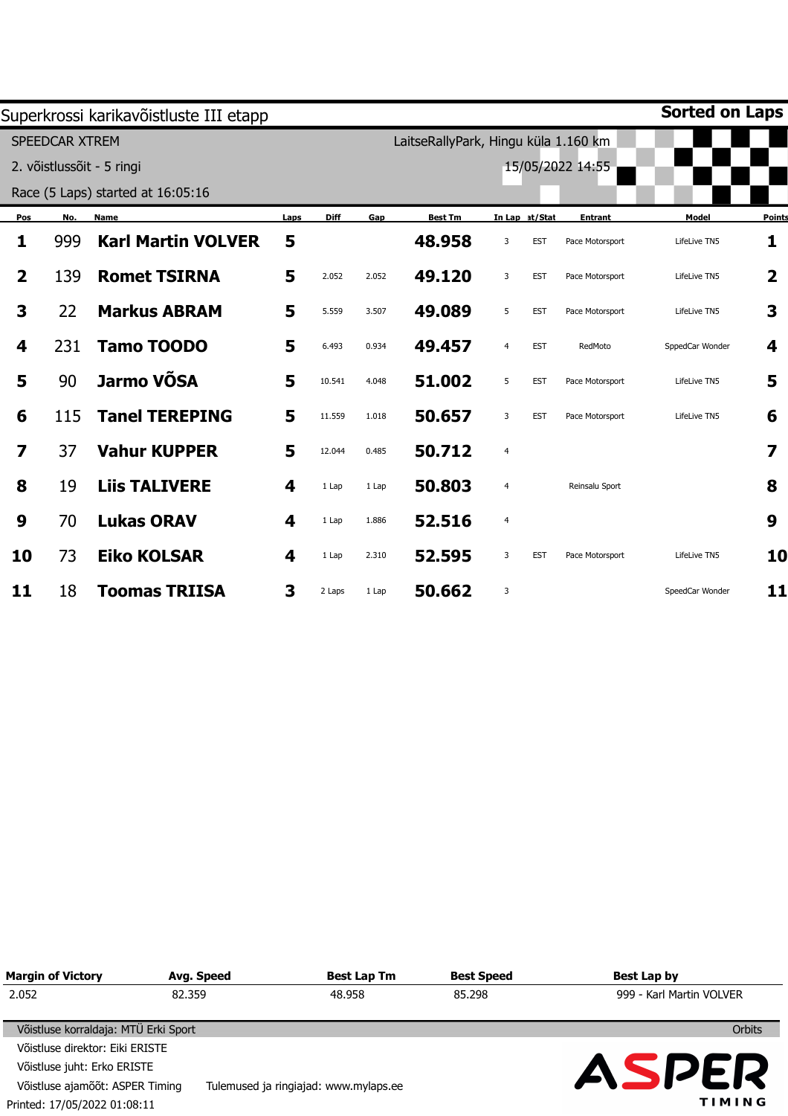|                         |                | Superkrossi karikavõistluste III etapp |      |             |       |                                      |                         |                |                  | Sorted on Laps  |               |
|-------------------------|----------------|----------------------------------------|------|-------------|-------|--------------------------------------|-------------------------|----------------|------------------|-----------------|---------------|
|                         | SPEEDCAR XTREM |                                        |      |             |       | LaitseRallyPark, Hingu küla 1.160 km |                         |                |                  |                 |               |
|                         |                | 2. võistlussõit - 5 ringi              |      |             |       |                                      |                         |                | 15/05/2022 14:55 |                 |               |
|                         |                | Race (5 Laps) started at 16:05:16      |      |             |       |                                      |                         |                |                  |                 |               |
| Pos                     | No.            | Name                                   | Laps | <b>Diff</b> | Gap   | <b>Best Tm</b>                       |                         | In Lap at/Stat | <b>Entrant</b>   | Model           | <b>Points</b> |
| 1                       | 999            | <b>Karl Martin VOLVER</b>              | 5    |             |       | 48.958                               | 3                       | <b>EST</b>     | Pace Motorsport  | LifeLive TN5    | 1             |
| $\overline{\mathbf{2}}$ | 139            | <b>Romet TSIRNA</b>                    | 5    | 2.052       | 2.052 | 49.120                               | 3                       | <b>EST</b>     | Pace Motorsport  | LifeLive TN5    | 2             |
| 3                       | 22             | <b>Markus ABRAM</b>                    | 5    | 5.559       | 3.507 | 49.089                               | 5                       | <b>EST</b>     | Pace Motorsport  | LifeLive TN5    | 3             |
| 4                       | 231            | <b>Tamo TOODO</b>                      | 5    | 6.493       | 0.934 | 49.457                               | $\overline{4}$          | <b>EST</b>     | RedMoto          | SppedCar Wonder | 4             |
| 5                       | 90             | Jarmo VÕSA                             | 5    | 10.541      | 4.048 | 51.002                               | 5                       | <b>EST</b>     | Pace Motorsport  | LifeLive TN5    | 5             |
| 6                       | 115            | <b>Tanel TEREPING</b>                  | 5    | 11.559      | 1.018 | 50.657                               | 3                       | <b>EST</b>     | Pace Motorsport  | LifeLive TN5    | 6             |
| 7                       | 37             | <b>Vahur KUPPER</b>                    | 5    | 12.044      | 0.485 | 50.712                               | $\overline{4}$          |                |                  |                 |               |
| 8                       | 19             | <b>Liis TALIVERE</b>                   | 4    | 1 Lap       | 1 Lap | 50.803                               | 4                       |                | Reinsalu Sport   |                 | 8             |
| 9                       | 70             | <b>Lukas ORAV</b>                      | 4    | 1 Lap       | 1.886 | 52.516                               | $\overline{\mathbf{4}}$ |                |                  |                 | 9             |
| 10                      | 73             | <b>Eiko KOLSAR</b>                     | 4    | 1 Lap       | 2.310 | 52.595                               | 3                       | <b>EST</b>     | Pace Motorsport  | LifeLive TN5    | 10            |
| 11                      | 18             | <b>Toomas TRIISA</b>                   | 3    | 2 Laps      | 1 Lap | 50.662                               | 3                       |                |                  | SpeedCar Wonder | 11            |

| <b>Margin of Victory</b>             | Avg. Speed | <b>Best Lap Tm</b>                    | <b>Best Speed</b> | Best Lap by              |
|--------------------------------------|------------|---------------------------------------|-------------------|--------------------------|
| 2.052                                | 82.359     | 48.958                                | 85.298            | 999 - Karl Martin VOLVER |
| Võistluse korraldaja: MTÜ Erki Sport |            |                                       |                   | Orbits                   |
| Võistluse direktor: Eiki ERISTE      |            |                                       |                   |                          |
| Võistluse juht: Erko ERISTE          |            |                                       |                   | <b>ASPER</b>             |
| Võistluse ajamõõt: ASPER Timing      |            | Tulemused ja ringiajad: www.mylaps.ee |                   |                          |
| Printed: 17/05/2022 01:08:11         |            |                                       |                   | TIMING                   |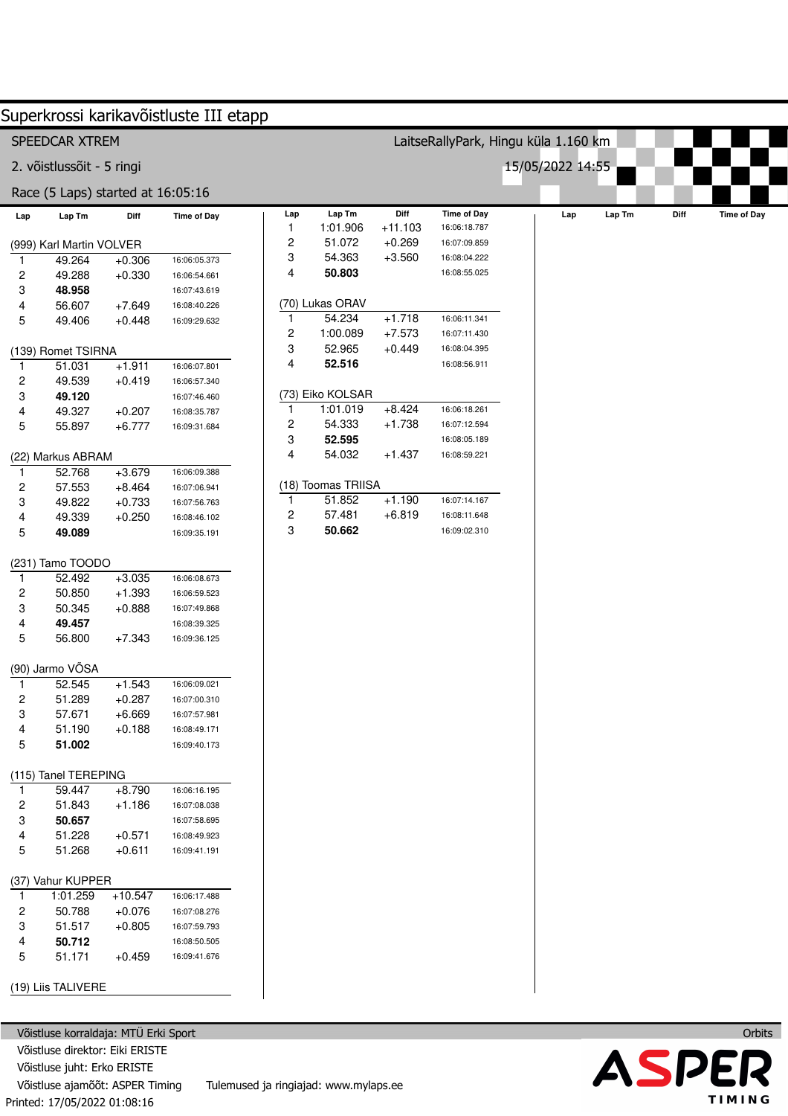|              |                                   |           | Superkrossi karikavõistluste III etapp |                         |                    |                   |                                      |                  |        |      |                    |
|--------------|-----------------------------------|-----------|----------------------------------------|-------------------------|--------------------|-------------------|--------------------------------------|------------------|--------|------|--------------------|
|              | SPEEDCAR XTREM                    |           |                                        |                         |                    |                   | LaitseRallyPark, Hingu küla 1.160 km |                  |        |      |                    |
|              | 2. võistlussõit - 5 ringi         |           |                                        |                         |                    |                   |                                      | 15/05/2022 14:55 |        |      |                    |
|              | Race (5 Laps) started at 16:05:16 |           |                                        |                         |                    |                   |                                      |                  |        |      |                    |
| Lap          | Lap Tm                            | Diff      | <b>Time of Day</b>                     | Lap<br>1                | Lap Tm<br>1:01.906 | Diff<br>$+11.103$ | <b>Time of Day</b><br>16:06:18.787   | Lap              | Lap Tm | Diff | <b>Time of Day</b> |
|              | (999) Karl Martin VOLVER          |           |                                        | 2                       | 51.072             | $+0.269$          | 16:07:09.859                         |                  |        |      |                    |
| 1.           | 49.264                            | $+0.306$  | 16:06:05.373                           | 3                       | 54.363             | $+3.560$          | 16:08:04.222                         |                  |        |      |                    |
| 2            | 49.288                            | $+0.330$  | 16:06:54.661                           | 4                       | 50.803             |                   | 16:08:55.025                         |                  |        |      |                    |
| 3            | 48.958                            |           | 16:07:43.619                           |                         |                    |                   |                                      |                  |        |      |                    |
| 4            | 56.607                            | $+7.649$  | 16:08:40.226                           |                         | (70) Lukas ORAV    |                   |                                      |                  |        |      |                    |
| 5            | 49.406                            | $+0.448$  | 16:09:29.632                           | 1                       | 54.234             | $+1.718$          | 16:06:11.341                         |                  |        |      |                    |
|              |                                   |           |                                        | $\overline{\mathbf{c}}$ | 1:00.089           | $+7.573$          | 16:07:11.430                         |                  |        |      |                    |
|              | (139) Romet TSIRNA                |           |                                        | 3                       | 52.965             | $+0.449$          | 16:08:04.395                         |                  |        |      |                    |
| 1            | 51.031                            | $+1.911$  | 16:06:07.801                           | 4                       | 52.516             |                   | 16:08:56.911                         |                  |        |      |                    |
| 2            | 49.539                            | $+0.419$  | 16:06:57.340                           |                         |                    |                   |                                      |                  |        |      |                    |
| 3            | 49.120                            |           | 16:07:46.460                           |                         | (73) Eiko KOLSAR   |                   |                                      |                  |        |      |                    |
| 4            | 49.327                            | $+0.207$  | 16:08:35.787                           | 1                       | 1:01.019           | $+8.424$          | 16:06:18.261                         |                  |        |      |                    |
| 5            | 55.897                            | $+6.777$  | 16:09:31.684                           | 2                       | 54.333             | $+1.738$          | 16:07:12.594                         |                  |        |      |                    |
|              |                                   |           |                                        | 3                       | 52.595             |                   | 16:08:05.189                         |                  |        |      |                    |
|              | (22) Markus ABRAM                 |           |                                        | 4                       | 54.032             | $+1.437$          | 16:08:59.221                         |                  |        |      |                    |
| $\mathbf{1}$ | 52.768                            | $+3.679$  | 16:06:09.388                           |                         |                    |                   |                                      |                  |        |      |                    |
| 2            | 57.553                            | $+8.464$  | 16:07:06.941                           |                         | (18) Toomas TRIISA |                   |                                      |                  |        |      |                    |
| 3            | 49.822                            | $+0.733$  | 16:07:56.763                           | 1                       | 51.852             | $+1.190$          | 16:07:14.167                         |                  |        |      |                    |
| 4            | 49.339                            | $+0.250$  | 16:08:46.102                           | $\overline{\mathbf{c}}$ | 57.481             | $+6.819$          | 16:08:11.648                         |                  |        |      |                    |
| 5            | 49.089                            |           | 16:09:35.191                           | 3                       | 50.662             |                   | 16:09:02.310                         |                  |        |      |                    |
|              |                                   |           |                                        |                         |                    |                   |                                      |                  |        |      |                    |
|              | (231) Tamo TOODO                  |           |                                        |                         |                    |                   |                                      |                  |        |      |                    |
| 1            | 52.492                            | $+3.035$  | 16:06:08.673                           |                         |                    |                   |                                      |                  |        |      |                    |
| 2            | 50.850                            | $+1.393$  | 16:06:59.523                           |                         |                    |                   |                                      |                  |        |      |                    |
| 3            | 50.345                            | $+0.888$  | 16:07:49.868                           |                         |                    |                   |                                      |                  |        |      |                    |
| 4            | 49.457                            |           | 16:08:39.325                           |                         |                    |                   |                                      |                  |        |      |                    |
| 5            | 56.800                            | $+7.343$  | 16:09:36.125                           |                         |                    |                   |                                      |                  |        |      |                    |
|              |                                   |           |                                        |                         |                    |                   |                                      |                  |        |      |                    |
|              | (90) Jarmo VÕSA                   |           |                                        |                         |                    |                   |                                      |                  |        |      |                    |
| $\mathbf{1}$ | 52.545                            | $+1.543$  | 16:06:09.021                           |                         |                    |                   |                                      |                  |        |      |                    |
| 2            | 51.289                            | $+0.287$  | 16:07:00.310                           |                         |                    |                   |                                      |                  |        |      |                    |
| 3            | 57.671                            | $+6.669$  | 16:07:57.981                           |                         |                    |                   |                                      |                  |        |      |                    |
| 4            | 51.190                            | $+0.188$  | 16:08:49.171                           |                         |                    |                   |                                      |                  |        |      |                    |
| 5            | 51.002                            |           | 16:09:40.173                           |                         |                    |                   |                                      |                  |        |      |                    |
|              |                                   |           |                                        |                         |                    |                   |                                      |                  |        |      |                    |
|              | (115) Tanel TEREPING              |           |                                        |                         |                    |                   |                                      |                  |        |      |                    |
| 1            | 59.447                            | $+8.790$  | 16:06:16.195                           |                         |                    |                   |                                      |                  |        |      |                    |
| 2            | 51.843                            | $+1.186$  | 16:07:08.038                           |                         |                    |                   |                                      |                  |        |      |                    |
| 3            | 50.657                            |           | 16:07:58.695                           |                         |                    |                   |                                      |                  |        |      |                    |
| 4            | 51.228                            | $+0.571$  | 16:08:49.923                           |                         |                    |                   |                                      |                  |        |      |                    |
| 5            | 51.268                            | $+0.611$  | 16:09:41.191                           |                         |                    |                   |                                      |                  |        |      |                    |
|              |                                   |           |                                        |                         |                    |                   |                                      |                  |        |      |                    |
|              | (37) Vahur KUPPER                 |           |                                        |                         |                    |                   |                                      |                  |        |      |                    |
| 1            | 1:01.259                          | $+10.547$ | 16:06:17.488                           |                         |                    |                   |                                      |                  |        |      |                    |
| 2            | 50.788                            | $+0.076$  | 16:07:08.276                           |                         |                    |                   |                                      |                  |        |      |                    |
| 3            | 51.517                            | $+0.805$  | 16:07:59.793                           |                         |                    |                   |                                      |                  |        |      |                    |
| 4            | 50.712                            |           | 16:08:50.505                           |                         |                    |                   |                                      |                  |        |      |                    |
| 5            | 51.171                            | $+0.459$  | 16:09:41.676                           |                         |                    |                   |                                      |                  |        |      |                    |
|              | (19) Liis TALIVERE                |           |                                        |                         |                    |                   |                                      |                  |        |      |                    |
|              |                                   |           |                                        |                         |                    |                   |                                      |                  |        |      |                    |

Printed: 17/05/2022 01:08:16 Võistluse korraldaja: MTÜ Erki Sport Võistluse direktor: Eiki ERISTE Võistluse juht: Erko ERISTE Võistluse ajamõõt: ASPER Timing Tulemused ja ringiajad: www.mylaps.ee

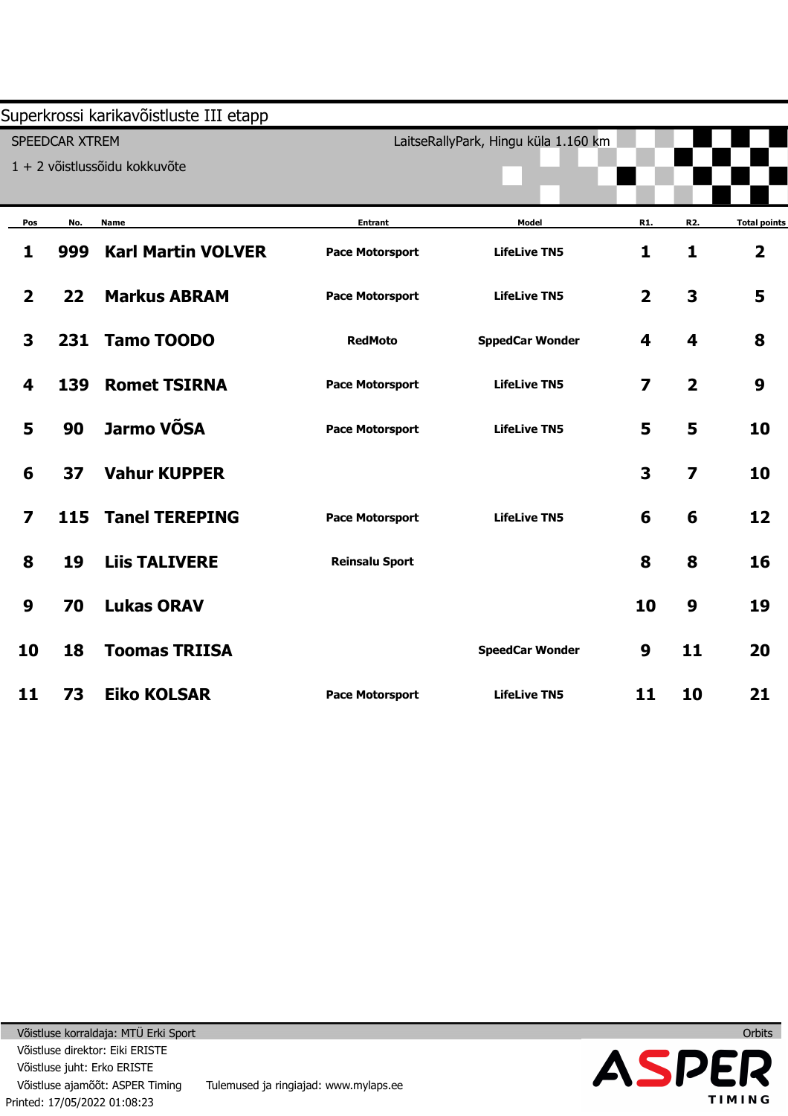|                         |                       | Superkrossi karikavõistluste III etapp |                        |                                      |                         |                         |                         |
|-------------------------|-----------------------|----------------------------------------|------------------------|--------------------------------------|-------------------------|-------------------------|-------------------------|
|                         | <b>SPEEDCAR XTREM</b> |                                        |                        | LaitseRallyPark, Hingu küla 1.160 km |                         |                         |                         |
|                         |                       | 1 + 2 võistlussõidu kokkuvõte          |                        |                                      |                         |                         |                         |
|                         |                       |                                        |                        |                                      |                         |                         |                         |
| Pos                     | No.                   | <b>Name</b>                            | <b>Entrant</b>         | Model                                | R1.                     | R2.                     | <b>Total points</b>     |
| 1                       | 999                   | <b>Karl Martin VOLVER</b>              | <b>Pace Motorsport</b> | <b>LifeLive TN5</b>                  | $\mathbf{1}$            | 1                       | $\overline{\mathbf{2}}$ |
| $\overline{\mathbf{2}}$ | 22                    | <b>Markus ABRAM</b>                    | <b>Pace Motorsport</b> | <b>LifeLive TN5</b>                  | $\overline{\mathbf{2}}$ | $\overline{\mathbf{3}}$ | 5                       |
| 3                       | 231                   | <b>Tamo TOODO</b>                      | <b>RedMoto</b>         | <b>SppedCar Wonder</b>               | 4                       | 4                       | 8                       |
| 4                       | 139                   | <b>Romet TSIRNA</b>                    | <b>Pace Motorsport</b> | <b>LifeLive TN5</b>                  | $\overline{\mathbf{z}}$ | $\overline{2}$          | 9                       |
| 5                       | 90                    | Jarmo VÕSA                             | <b>Pace Motorsport</b> | <b>LifeLive TN5</b>                  | 5                       | 5                       | 10                      |
| 6                       | 37                    | <b>Vahur KUPPER</b>                    |                        |                                      | 3                       | $\overline{\mathbf{z}}$ | 10                      |
| $\overline{\mathbf{z}}$ | 115                   | <b>Tanel TEREPING</b>                  | <b>Pace Motorsport</b> | <b>LifeLive TN5</b>                  | 6                       | 6                       | 12                      |
| 8                       | 19                    | <b>Liis TALIVERE</b>                   | <b>Reinsalu Sport</b>  |                                      | 8                       | 8                       | 16                      |
| $\boldsymbol{9}$        | 70                    | <b>Lukas ORAV</b>                      |                        |                                      | 10                      | 9                       | 19                      |
| 10                      | 18                    | <b>Toomas TRIISA</b>                   |                        | <b>SpeedCar Wonder</b>               | 9                       | 11                      | 20                      |
| 11                      | 73                    | <b>Eiko KOLSAR</b>                     | <b>Pace Motorsport</b> | <b>LifeLive TN5</b>                  | 11                      | 10                      | 21                      |

**Orbits**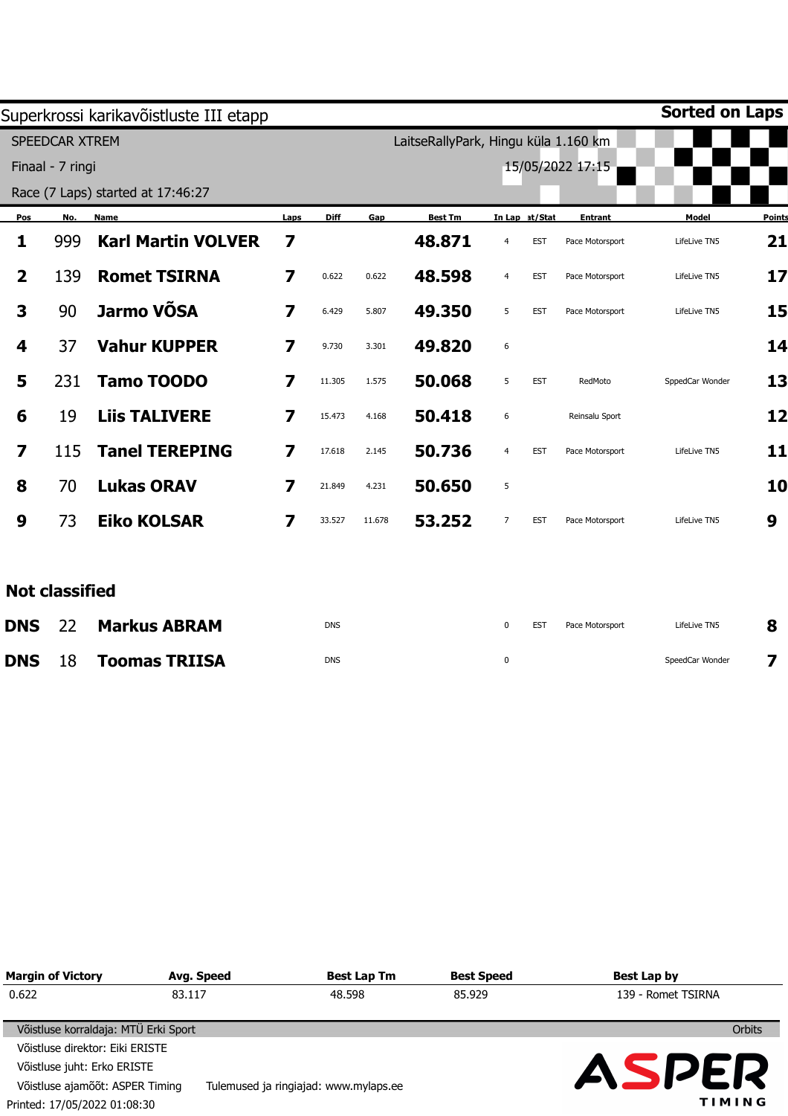|     |                           |                                                                                                                                            |             |        |                |                  |            |                 | <b>Sorted on Laps</b>                                    |               |
|-----|---------------------------|--------------------------------------------------------------------------------------------------------------------------------------------|-------------|--------|----------------|------------------|------------|-----------------|----------------------------------------------------------|---------------|
|     |                           |                                                                                                                                            |             |        |                |                  |            |                 |                                                          |               |
|     |                           |                                                                                                                                            |             |        |                |                  |            |                 |                                                          |               |
|     |                           |                                                                                                                                            |             |        |                |                  |            |                 |                                                          |               |
| No. | <b>Name</b>               | Laps                                                                                                                                       | <b>Diff</b> | Gap    | <b>Best Tm</b> |                  |            | <b>Entrant</b>  | Model                                                    | <b>Points</b> |
| 999 | <b>Karl Martin VOLVER</b> | $\overline{\mathbf{z}}$                                                                                                                    |             |        | 48.871         | 4                | <b>EST</b> | Pace Motorsport | LifeLive TN5                                             | 21            |
| 139 | <b>Romet TSIRNA</b>       | $\overline{\mathbf{z}}$                                                                                                                    | 0.622       | 0.622  | 48.598         | $\overline{4}$   | <b>EST</b> | Pace Motorsport | LifeLive TN5                                             | 17            |
| 90  | Jarmo VÕSA                | 7                                                                                                                                          | 6.429       | 5.807  | 49.350         | 5                | <b>EST</b> | Pace Motorsport | LifeLive TN5                                             | 15            |
| 37  | <b>Vahur KUPPER</b>       | 7                                                                                                                                          | 9.730       | 3.301  | 49.820         | $\boldsymbol{6}$ |            |                 |                                                          | 14            |
| 231 | <b>Tamo TOODO</b>         | 7                                                                                                                                          | 11.305      | 1.575  | 50.068         | 5                | <b>EST</b> | RedMoto         | SppedCar Wonder                                          | 13            |
| 19  | <b>Liis TALIVERE</b>      | 7                                                                                                                                          | 15.473      | 4.168  | 50.418         | 6                |            | Reinsalu Sport  |                                                          | 12            |
| 115 | <b>Tanel TEREPING</b>     | 7                                                                                                                                          | 17.618      | 2.145  | 50.736         | $\overline{4}$   | <b>EST</b> | Pace Motorsport | LifeLive TN5                                             | 11            |
| 70  | <b>Lukas ORAV</b>         | 7                                                                                                                                          | 21.849      | 4.231  | 50.650         | 5                |            |                 |                                                          | 10            |
| 73  | <b>Eiko KOLSAR</b>        | 7                                                                                                                                          | 33.527      | 11.678 | 53.252         | $\overline{7}$   | <b>EST</b> | Pace Motorsport | LifeLive TN5                                             | 9             |
|     |                           |                                                                                                                                            |             |        |                |                  |            |                 |                                                          |               |
|     |                           |                                                                                                                                            |             |        |                |                  |            |                 |                                                          |               |
| 22  | <b>Markus ABRAM</b>       |                                                                                                                                            | <b>DNS</b>  |        |                | $\mathbf 0$      | <b>EST</b> | Pace Motorsport | LifeLive TN5                                             | 8             |
|     |                           | Superkrossi karikavõistluste III etapp<br>SPEEDCAR XTREM<br>Finaal - 7 ringi<br>Race (7 Laps) started at 17:46:27<br><b>Not classified</b> |             |        |                |                  |            | In Lap at/Stat  | LaitseRallyPark, Hingu küla 1.160 km<br>15/05/2022 17:15 |               |

0

SpeedCar Wonder

**7** 

DNS

**DNS**  18 **Toomas TRIISA** 

|        | <b>Best Speed</b>                                            | Best Lap by                                                 |
|--------|--------------------------------------------------------------|-------------------------------------------------------------|
| 48.598 | 85.929                                                       | 139 - Romet TSIRNA                                          |
|        |                                                              | <b>Orbits</b>                                               |
|        |                                                              |                                                             |
|        |                                                              | ASPER<br>TIMING                                             |
|        | Avg. Speed<br>83.117<br>Võistluse korraldaja: MTÜ Erki Sport | <b>Best Lap Tm</b><br>Tulemused ja ringiajad: www.mylaps.ee |